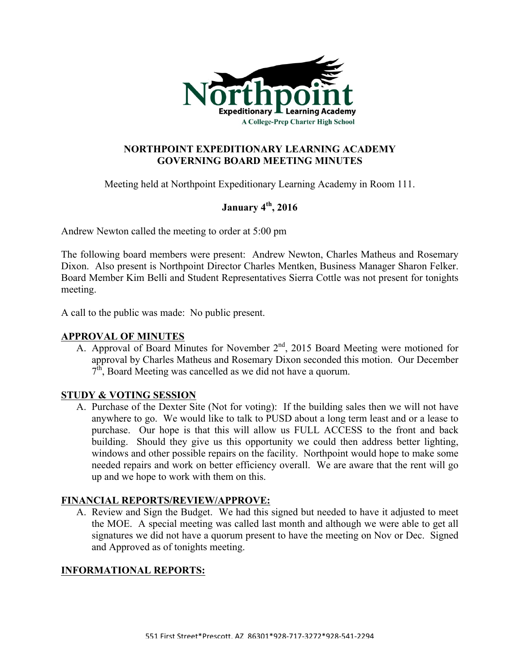

## **NORTHPOINT EXPEDITIONARY LEARNING ACADEMY GOVERNING BOARD MEETING MINUTES**

Meeting held at Northpoint Expeditionary Learning Academy in Room 111.

# **January 4th, 2016**

Andrew Newton called the meeting to order at 5:00 pm

The following board members were present: Andrew Newton, Charles Matheus and Rosemary Dixon. Also present is Northpoint Director Charles Mentken, Business Manager Sharon Felker. Board Member Kim Belli and Student Representatives Sierra Cottle was not present for tonights meeting.

A call to the public was made: No public present.

#### **APPROVAL OF MINUTES**

A. Approval of Board Minutes for November 2<sup>nd</sup>, 2015 Board Meeting were motioned for approval by Charles Matheus and Rosemary Dixon seconded this motion. Our December  $7<sup>th</sup>$ , Board Meeting was cancelled as we did not have a quorum.

## **STUDY & VOTING SESSION**

A. Purchase of the Dexter Site (Not for voting): If the building sales then we will not have anywhere to go. We would like to talk to PUSD about a long term least and or a lease to purchase. Our hope is that this will allow us FULL ACCESS to the front and back building. Should they give us this opportunity we could then address better lighting, windows and other possible repairs on the facility. Northpoint would hope to make some needed repairs and work on better efficiency overall. We are aware that the rent will go up and we hope to work with them on this.

## **FINANCIAL REPORTS/REVIEW/APPROVE:**

A. Review and Sign the Budget. We had this signed but needed to have it adjusted to meet the MOE. A special meeting was called last month and although we were able to get all signatures we did not have a quorum present to have the meeting on Nov or Dec. Signed and Approved as of tonights meeting.

## **INFORMATIONAL REPORTS:**